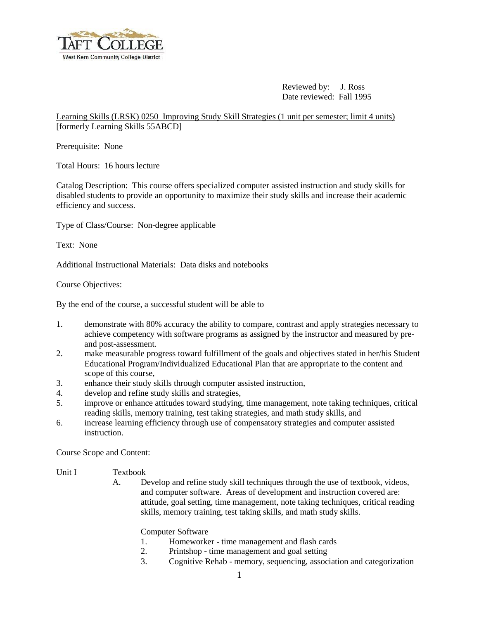

 Reviewed by: J. Ross Date reviewed: Fall 1995

Learning Skills (LRSK) 0250 Improving Study Skill Strategies (1 unit per semester; limit 4 units) [formerly Learning Skills 55ABCD]

Prerequisite: None

Total Hours: 16 hours lecture

Catalog Description: This course offers specialized computer assisted instruction and study skills for disabled students to provide an opportunity to maximize their study skills and increase their academic efficiency and success.

Type of Class/Course: Non-degree applicable

Text: None

Additional Instructional Materials: Data disks and notebooks

Course Objectives:

By the end of the course, a successful student will be able to

- 1. demonstrate with 80% accuracy the ability to compare, contrast and apply strategies necessary to achieve competency with software programs as assigned by the instructor and measured by preand post-assessment.
- 2. make measurable progress toward fulfillment of the goals and objectives stated in her/his Student Educational Program/Individualized Educational Plan that are appropriate to the content and scope of this course,
- 3. enhance their study skills through computer assisted instruction,
- 4. develop and refine study skills and strategies,
- 5. improve or enhance attitudes toward studying, time management, note taking techniques, critical reading skills, memory training, test taking strategies, and math study skills, and
- 6. increase learning efficiency through use of compensatory strategies and computer assisted instruction.

Course Scope and Content:

## Unit I Textbook

A. Develop and refine study skill techniques through the use of textbook, videos, and computer software. Areas of development and instruction covered are: attitude, goal setting, time management, note taking techniques, critical reading skills, memory training, test taking skills, and math study skills.

Computer Software

- 1. Homeworker time management and flash cards
- 2. Printshop time management and goal setting
- 3. Cognitive Rehab memory, sequencing, association and categorization